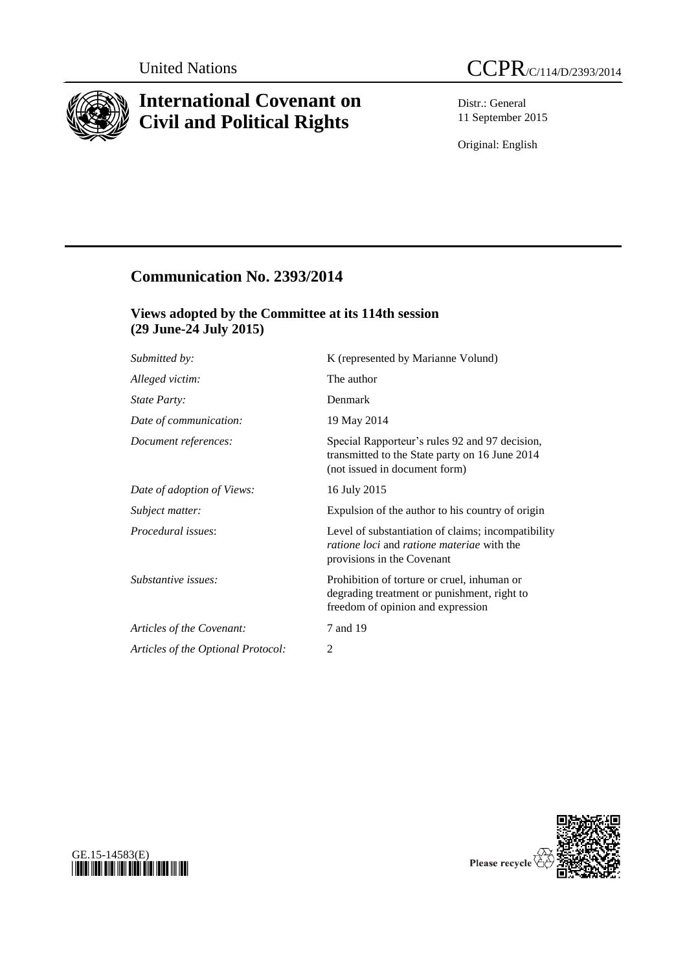

# **International Covenant on Civil and Political Rights**

Distr.: General 11 September 2015

Original: English

## **Communication No. 2393/2014**

## **Views adopted by the Committee at its 114th session (29 June-24 July 2015)**

| Submitted by:                      | K (represented by Marianne Volund)                                                                                                           |
|------------------------------------|----------------------------------------------------------------------------------------------------------------------------------------------|
| Alleged victim:                    | The author                                                                                                                                   |
| State Party:                       | Denmark                                                                                                                                      |
| Date of communication:             | 19 May 2014                                                                                                                                  |
| Document references:               | Special Rapporteur's rules 92 and 97 decision,<br>transmitted to the State party on 16 June 2014<br>(not issued in document form)            |
| Date of adoption of Views:         | 16 July 2015                                                                                                                                 |
| Subject matter:                    | Expulsion of the author to his country of origin                                                                                             |
| Procedural issues:                 | Level of substantiation of claims; incompatibility<br><i>ratione loci</i> and <i>ratione materiae</i> with the<br>provisions in the Covenant |
| Substantive issues:                | Prohibition of torture or cruel, inhuman or<br>degrading treatment or punishment, right to<br>freedom of opinion and expression              |
| Articles of the Covenant:          | 7 and 19                                                                                                                                     |
| Articles of the Optional Protocol: | 2                                                                                                                                            |
|                                    |                                                                                                                                              |



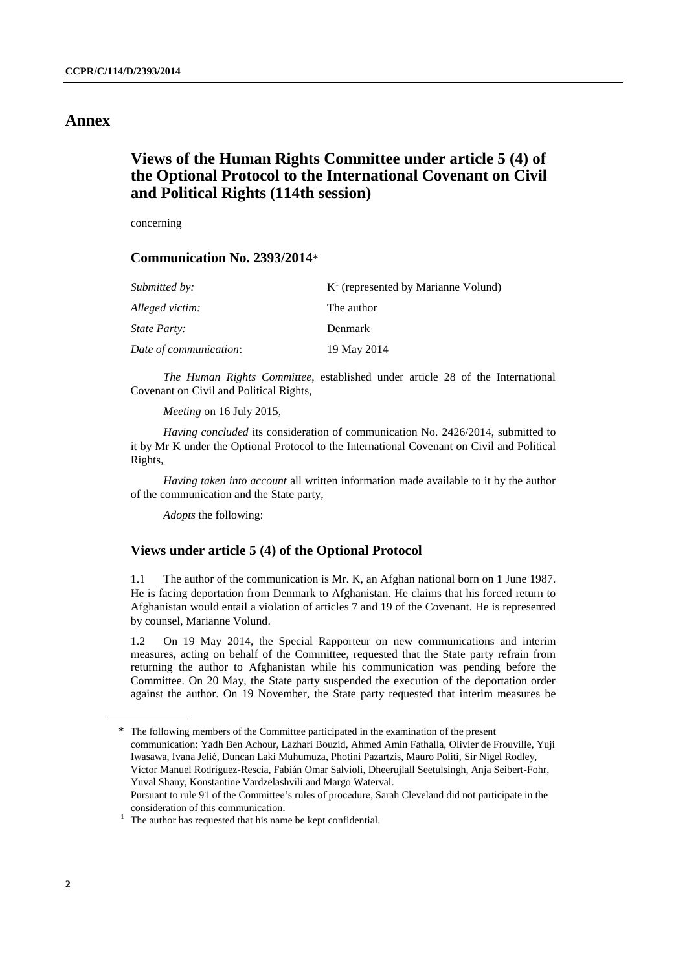### **Annex**

## **Views of the Human Rights Committee under article 5 (4) of the Optional Protocol to the International Covenant on Civil and Political Rights (114th session)**

concerning

#### **Communication No. 2393/2014**\*

| Submitted by:          | $K^1$ (represented by Marianne Volund) |
|------------------------|----------------------------------------|
| Alleged victim:        | The author                             |
| <i>State Party:</i>    | <b>Denmark</b>                         |
| Date of communication: | 19 May 2014                            |

*The Human Rights Committee*, established under article 28 of the International Covenant on Civil and Political Rights,

*Meeting* on 16 July 2015,

*Having concluded* its consideration of communication No. 2426/2014, submitted to it by Mr K under the Optional Protocol to the International Covenant on Civil and Political Rights,

*Having taken into account* all written information made available to it by the author of the communication and the State party,

*Adopts* the following:

#### **Views under article 5 (4) of the Optional Protocol**

1.1 The author of the communication is Mr. K, an Afghan national born on 1 June 1987. He is facing deportation from Denmark to Afghanistan. He claims that his forced return to Afghanistan would entail a violation of articles 7 and 19 of the Covenant. He is represented by counsel, Marianne Volund.

1.2 On 19 May 2014, the Special Rapporteur on new communications and interim measures, acting on behalf of the Committee, requested that the State party refrain from returning the author to Afghanistan while his communication was pending before the Committee. On 20 May, the State party suspended the execution of the deportation order against the author. On 19 November, the State party requested that interim measures be

<sup>\*</sup> The following members of the Committee participated in the examination of the present communication: Yadh Ben Achour, Lazhari Bouzid, Ahmed Amin Fathalla, Olivier de Frouville, Yuji Iwasawa, Ivana Jelić, Duncan Laki Muhumuza, Photini Pazartzis, Mauro Politi, Sir Nigel Rodley, Víctor Manuel Rodríguez-Rescia, Fabián Omar Salvioli, Dheerujlall Seetulsingh, Anja Seibert-Fohr, Yuval Shany, Konstantine Vardzelashvili and Margo Waterval. Pursuant to rule 91 of the Committee's rules of procedure, Sarah Cleveland did not participate in the

consideration of this communication.

 $1$  The author has requested that his name be kept confidential.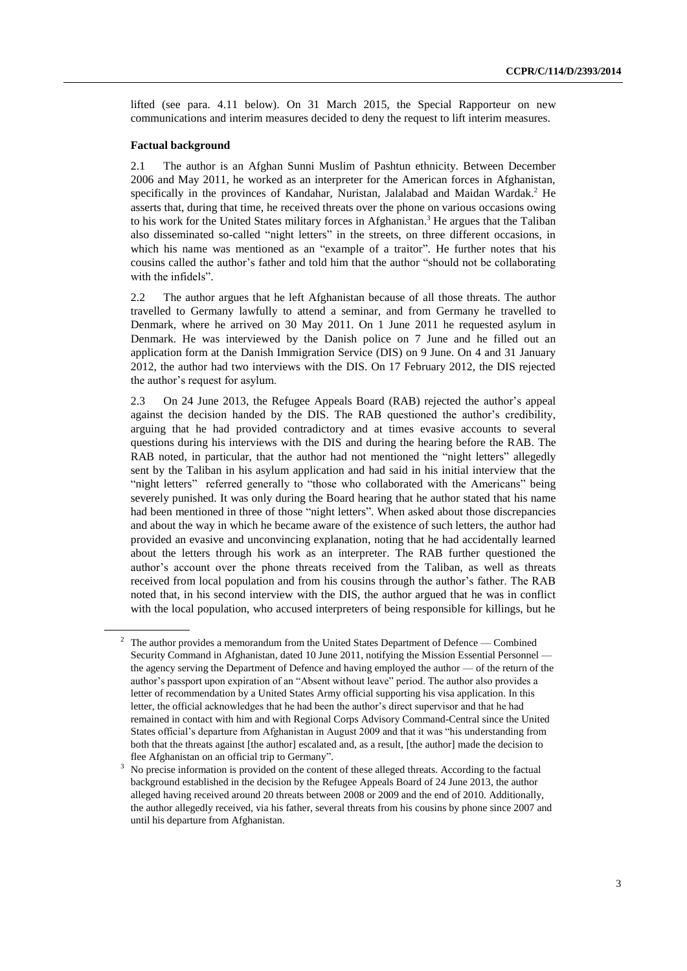lifted (see para. 4.11 below). On 31 March 2015, the Special Rapporteur on new communications and interim measures decided to deny the request to lift interim measures.

#### **Factual background**

2.1 The author is an Afghan Sunni Muslim of Pashtun ethnicity. Between December 2006 and May 2011, he worked as an interpreter for the American forces in Afghanistan, specifically in the provinces of Kandahar, Nuristan, Jalalabad and Maidan Wardak.<sup>2</sup> He asserts that, during that time, he received threats over the phone on various occasions owing to his work for the United States military forces in Afghanistan.<sup>3</sup> He argues that the Taliban also disseminated so-called "night letters" in the streets, on three different occasions, in which his name was mentioned as an "example of a traitor". He further notes that his cousins called the author's father and told him that the author "should not be collaborating with the infidels".

2.2 The author argues that he left Afghanistan because of all those threats. The author travelled to Germany lawfully to attend a seminar, and from Germany he travelled to Denmark, where he arrived on 30 May 2011. On 1 June 2011 he requested asylum in Denmark. He was interviewed by the Danish police on 7 June and he filled out an application form at the Danish Immigration Service (DIS) on 9 June. On 4 and 31 January 2012, the author had two interviews with the DIS. On 17 February 2012, the DIS rejected the author's request for asylum.

2.3 On 24 June 2013, the Refugee Appeals Board (RAB) rejected the author's appeal against the decision handed by the DIS. The RAB questioned the author's credibility, arguing that he had provided contradictory and at times evasive accounts to several questions during his interviews with the DIS and during the hearing before the RAB. The RAB noted, in particular, that the author had not mentioned the "night letters" allegedly sent by the Taliban in his asylum application and had said in his initial interview that the "night letters" referred generally to "those who collaborated with the Americans" being severely punished. It was only during the Board hearing that he author stated that his name had been mentioned in three of those "night letters". When asked about those discrepancies and about the way in which he became aware of the existence of such letters, the author had provided an evasive and unconvincing explanation, noting that he had accidentally learned about the letters through his work as an interpreter. The RAB further questioned the author's account over the phone threats received from the Taliban, as well as threats received from local population and from his cousins through the author's father. The RAB noted that, in his second interview with the DIS, the author argued that he was in conflict with the local population, who accused interpreters of being responsible for killings, but he

 $2$  The author provides a memorandum from the United States Department of Defence — Combined Security Command in Afghanistan, dated 10 June 2011, notifying the Mission Essential Personnel the agency serving the Department of Defence and having employed the author — of the return of the author's passport upon expiration of an "Absent without leave" period. The author also provides a letter of recommendation by a United States Army official supporting his visa application. In this letter, the official acknowledges that he had been the author's direct supervisor and that he had remained in contact with him and with Regional Corps Advisory Command-Central since the United States official's departure from Afghanistan in August 2009 and that it was "his understanding from both that the threats against [the author] escalated and, as a result, [the author] made the decision to flee Afghanistan on an official trip to Germany".

<sup>3</sup> No precise information is provided on the content of these alleged threats. According to the factual background established in the decision by the Refugee Appeals Board of 24 June 2013, the author alleged having received around 20 threats between 2008 or 2009 and the end of 2010. Additionally, the author allegedly received, via his father, several threats from his cousins by phone since 2007 and until his departure from Afghanistan.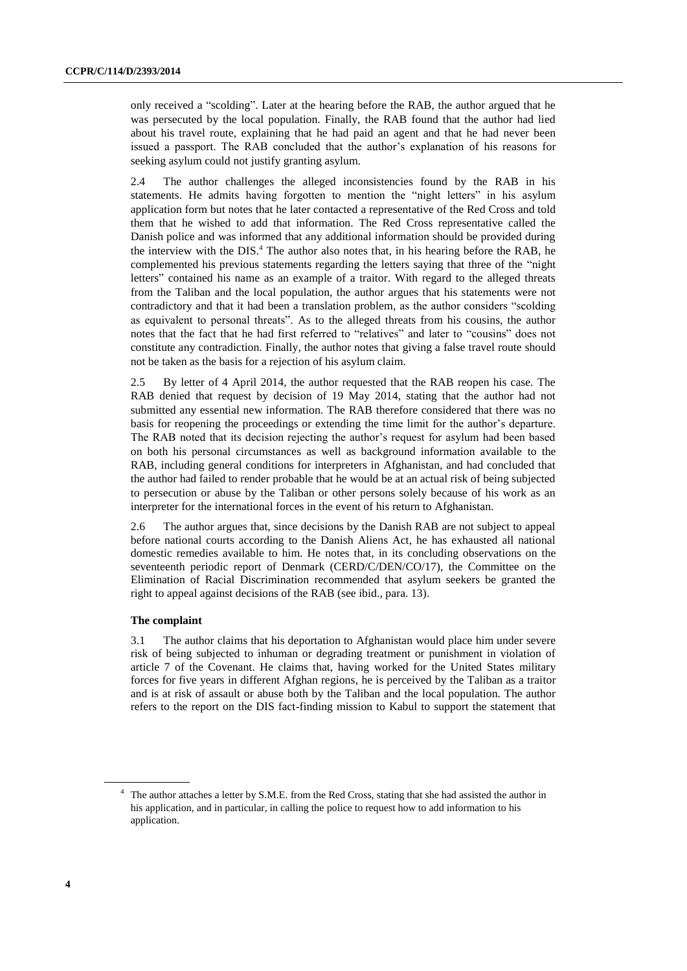only received a "scolding". Later at the hearing before the RAB, the author argued that he was persecuted by the local population. Finally, the RAB found that the author had lied about his travel route, explaining that he had paid an agent and that he had never been issued a passport. The RAB concluded that the author's explanation of his reasons for seeking asylum could not justify granting asylum.

2.4 The author challenges the alleged inconsistencies found by the RAB in his statements. He admits having forgotten to mention the "night letters" in his asylum application form but notes that he later contacted a representative of the Red Cross and told them that he wished to add that information. The Red Cross representative called the Danish police and was informed that any additional information should be provided during the interview with the DIS.<sup>4</sup> The author also notes that, in his hearing before the RAB, he complemented his previous statements regarding the letters saying that three of the "night letters" contained his name as an example of a traitor. With regard to the alleged threats from the Taliban and the local population, the author argues that his statements were not contradictory and that it had been a translation problem, as the author considers "scolding as equivalent to personal threats". As to the alleged threats from his cousins, the author notes that the fact that he had first referred to "relatives" and later to "cousins" does not constitute any contradiction. Finally, the author notes that giving a false travel route should not be taken as the basis for a rejection of his asylum claim.

2.5 By letter of 4 April 2014, the author requested that the RAB reopen his case. The RAB denied that request by decision of 19 May 2014, stating that the author had not submitted any essential new information. The RAB therefore considered that there was no basis for reopening the proceedings or extending the time limit for the author's departure. The RAB noted that its decision rejecting the author's request for asylum had been based on both his personal circumstances as well as background information available to the RAB, including general conditions for interpreters in Afghanistan, and had concluded that the author had failed to render probable that he would be at an actual risk of being subjected to persecution or abuse by the Taliban or other persons solely because of his work as an interpreter for the international forces in the event of his return to Afghanistan.

2.6 The author argues that, since decisions by the Danish RAB are not subject to appeal before national courts according to the Danish Aliens Act, he has exhausted all national domestic remedies available to him. He notes that, in its concluding observations on the seventeenth periodic report of Denmark (CERD/C/DEN/CO/17), the Committee on the Elimination of Racial Discrimination recommended that asylum seekers be granted the right to appeal against decisions of the RAB (see ibid., para. 13).

#### **The complaint**

3.1 The author claims that his deportation to Afghanistan would place him under severe risk of being subjected to inhuman or degrading treatment or punishment in violation of article 7 of the Covenant. He claims that, having worked for the United States military forces for five years in different Afghan regions, he is perceived by the Taliban as a traitor and is at risk of assault or abuse both by the Taliban and the local population. The author refers to the report on the DIS fact-finding mission to Kabul to support the statement that

The author attaches a letter by S.M.E. from the Red Cross, stating that she had assisted the author in his application, and in particular, in calling the police to request how to add information to his application.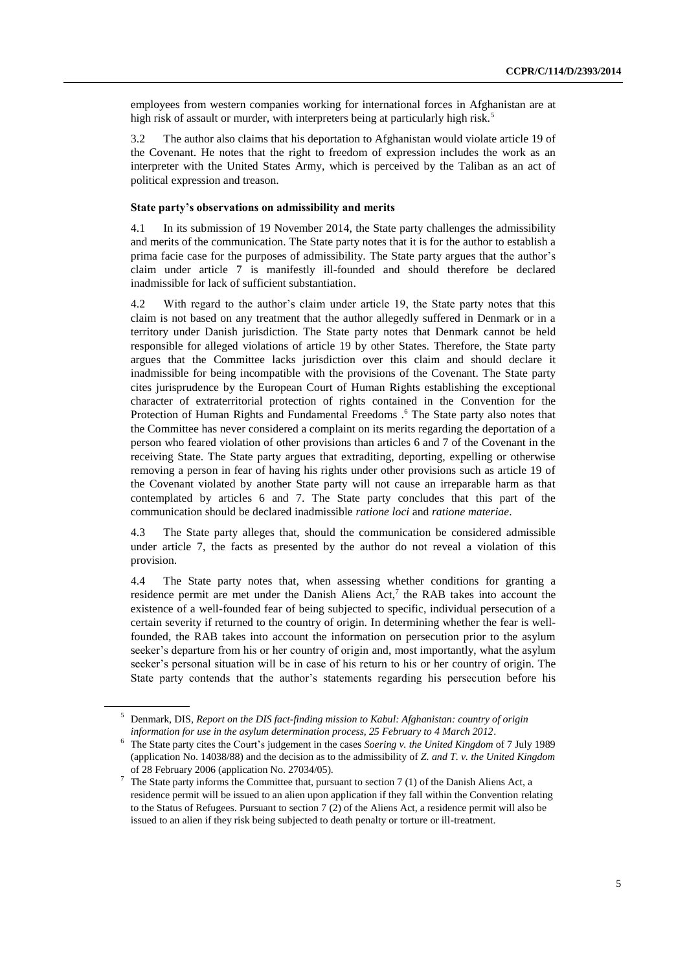employees from western companies working for international forces in Afghanistan are at high risk of assault or murder, with interpreters being at particularly high risk.<sup>5</sup>

3.2 The author also claims that his deportation to Afghanistan would violate article 19 of the Covenant. He notes that the right to freedom of expression includes the work as an interpreter with the United States Army, which is perceived by the Taliban as an act of political expression and treason.

#### **State party's observations on admissibility and merits**

4.1 In its submission of 19 November 2014, the State party challenges the admissibility and merits of the communication. The State party notes that it is for the author to establish a prima facie case for the purposes of admissibility. The State party argues that the author's claim under article 7 is manifestly ill-founded and should therefore be declared inadmissible for lack of sufficient substantiation.

4.2 With regard to the author's claim under article 19, the State party notes that this claim is not based on any treatment that the author allegedly suffered in Denmark or in a territory under Danish jurisdiction. The State party notes that Denmark cannot be held responsible for alleged violations of article 19 by other States. Therefore, the State party argues that the Committee lacks jurisdiction over this claim and should declare it inadmissible for being incompatible with the provisions of the Covenant. The State party cites jurisprudence by the European Court of Human Rights establishing the exceptional character of extraterritorial protection of rights contained in the Convention for the Protection of Human Rights and Fundamental Freedoms . <sup>6</sup> The State party also notes that the Committee has never considered a complaint on its merits regarding the deportation of a person who feared violation of other provisions than articles 6 and 7 of the Covenant in the receiving State. The State party argues that extraditing, deporting, expelling or otherwise removing a person in fear of having his rights under other provisions such as article 19 of the Covenant violated by another State party will not cause an irreparable harm as that contemplated by articles 6 and 7. The State party concludes that this part of the communication should be declared inadmissible *ratione loci* and *ratione materiae*.

4.3 The State party alleges that, should the communication be considered admissible under article 7, the facts as presented by the author do not reveal a violation of this provision.

4.4 The State party notes that, when assessing whether conditions for granting a residence permit are met under the Danish Aliens  $Act$ , the RAB takes into account the existence of a well-founded fear of being subjected to specific, individual persecution of a certain severity if returned to the country of origin. In determining whether the fear is wellfounded, the RAB takes into account the information on persecution prior to the asylum seeker's departure from his or her country of origin and, most importantly, what the asylum seeker's personal situation will be in case of his return to his or her country of origin. The State party contends that the author's statements regarding his persecution before his

<sup>5</sup> Denmark, DIS, *Report on the DIS fact-finding mission to Kabul: Afghanistan: country of origin information for use in the asylum determination process, 25 February to 4 March 2012*.

<sup>6</sup> The State party cites the Court's judgement in the cases *Soering v. the United Kingdom* of 7 July 1989 (application No. 14038/88) and the decision as to the admissibility of *Z. and T. v. the United Kingdom* of 28 February 2006 (application No. 27034/05).

 $7$  The State party informs the Committee that, pursuant to section 7 (1) of the Danish Aliens Act, a residence permit will be issued to an alien upon application if they fall within the Convention relating to the Status of Refugees. Pursuant to section 7 (2) of the Aliens Act, a residence permit will also be issued to an alien if they risk being subjected to death penalty or torture or ill-treatment.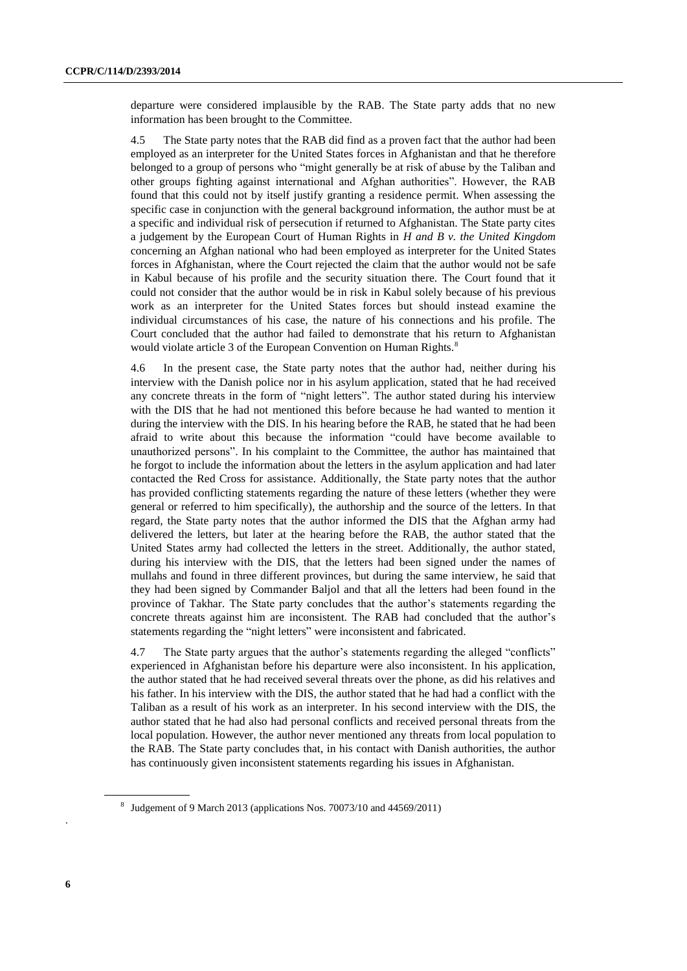departure were considered implausible by the RAB. The State party adds that no new information has been brought to the Committee.

4.5 The State party notes that the RAB did find as a proven fact that the author had been employed as an interpreter for the United States forces in Afghanistan and that he therefore belonged to a group of persons who "might generally be at risk of abuse by the Taliban and other groups fighting against international and Afghan authorities". However, the RAB found that this could not by itself justify granting a residence permit. When assessing the specific case in conjunction with the general background information, the author must be at a specific and individual risk of persecution if returned to Afghanistan. The State party cites a judgement by the European Court of Human Rights in *H and B v. the United Kingdom*  concerning an Afghan national who had been employed as interpreter for the United States forces in Afghanistan, where the Court rejected the claim that the author would not be safe in Kabul because of his profile and the security situation there. The Court found that it could not consider that the author would be in risk in Kabul solely because of his previous work as an interpreter for the United States forces but should instead examine the individual circumstances of his case, the nature of his connections and his profile. The Court concluded that the author had failed to demonstrate that his return to Afghanistan would violate article 3 of the European Convention on Human Rights.<sup>8</sup>

4.6 In the present case, the State party notes that the author had, neither during his interview with the Danish police nor in his asylum application, stated that he had received any concrete threats in the form of "night letters". The author stated during his interview with the DIS that he had not mentioned this before because he had wanted to mention it during the interview with the DIS. In his hearing before the RAB, he stated that he had been afraid to write about this because the information "could have become available to unauthorized persons". In his complaint to the Committee, the author has maintained that he forgot to include the information about the letters in the asylum application and had later contacted the Red Cross for assistance. Additionally, the State party notes that the author has provided conflicting statements regarding the nature of these letters (whether they were general or referred to him specifically), the authorship and the source of the letters. In that regard, the State party notes that the author informed the DIS that the Afghan army had delivered the letters, but later at the hearing before the RAB, the author stated that the United States army had collected the letters in the street. Additionally, the author stated, during his interview with the DIS, that the letters had been signed under the names of mullahs and found in three different provinces, but during the same interview, he said that they had been signed by Commander Baljol and that all the letters had been found in the province of Takhar. The State party concludes that the author's statements regarding the concrete threats against him are inconsistent. The RAB had concluded that the author's statements regarding the "night letters" were inconsistent and fabricated.

4.7 The State party argues that the author's statements regarding the alleged "conflicts" experienced in Afghanistan before his departure were also inconsistent. In his application, the author stated that he had received several threats over the phone, as did his relatives and his father. In his interview with the DIS, the author stated that he had had a conflict with the Taliban as a result of his work as an interpreter. In his second interview with the DIS, the author stated that he had also had personal conflicts and received personal threats from the local population. However, the author never mentioned any threats from local population to the RAB. The State party concludes that, in his contact with Danish authorities, the author has continuously given inconsistent statements regarding his issues in Afghanistan.

.

<sup>&</sup>lt;sup>8</sup> Judgement of 9 March 2013 (applications Nos. 70073/10 and 44569/2011)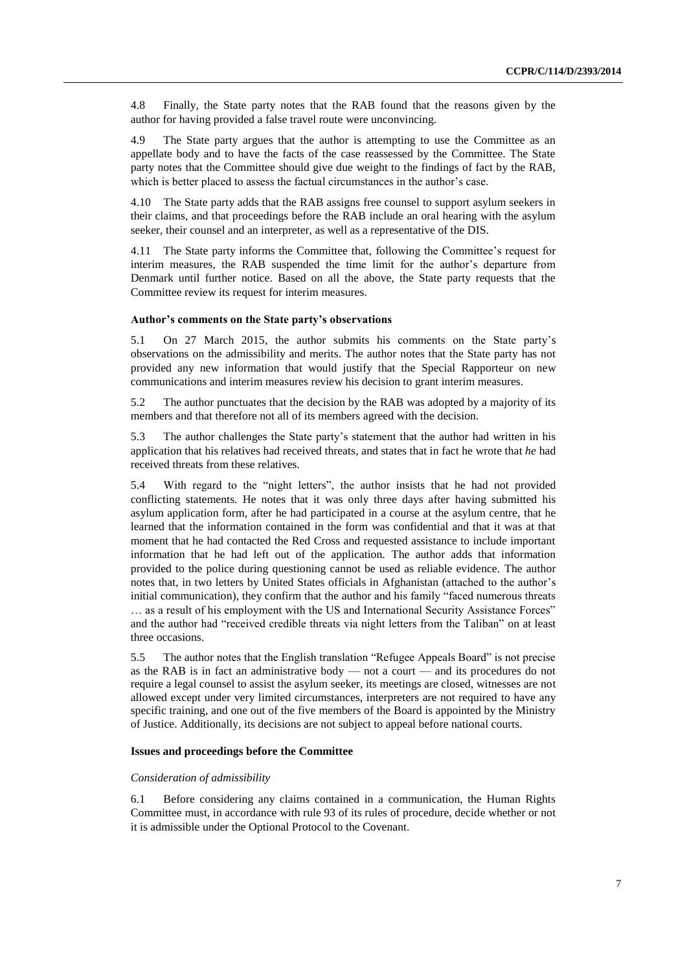4.8 Finally, the State party notes that the RAB found that the reasons given by the author for having provided a false travel route were unconvincing.

4.9 The State party argues that the author is attempting to use the Committee as an appellate body and to have the facts of the case reassessed by the Committee. The State party notes that the Committee should give due weight to the findings of fact by the RAB, which is better placed to assess the factual circumstances in the author's case.

4.10 The State party adds that the RAB assigns free counsel to support asylum seekers in their claims, and that proceedings before the RAB include an oral hearing with the asylum seeker, their counsel and an interpreter, as well as a representative of the DIS.

4.11 The State party informs the Committee that, following the Committee's request for interim measures, the RAB suspended the time limit for the author's departure from Denmark until further notice. Based on all the above, the State party requests that the Committee review its request for interim measures.

#### **Author's comments on the State party's observations**

5.1 On 27 March 2015, the author submits his comments on the State party's observations on the admissibility and merits. The author notes that the State party has not provided any new information that would justify that the Special Rapporteur on new communications and interim measures review his decision to grant interim measures.

5.2 The author punctuates that the decision by the RAB was adopted by a majority of its members and that therefore not all of its members agreed with the decision.

5.3 The author challenges the State party's statement that the author had written in his application that his relatives had received threats, and states that in fact he wrote that *he* had received threats from these relatives.

5.4 With regard to the "night letters", the author insists that he had not provided conflicting statements. He notes that it was only three days after having submitted his asylum application form, after he had participated in a course at the asylum centre, that he learned that the information contained in the form was confidential and that it was at that moment that he had contacted the Red Cross and requested assistance to include important information that he had left out of the application. The author adds that information provided to the police during questioning cannot be used as reliable evidence. The author notes that, in two letters by United States officials in Afghanistan (attached to the author's initial communication), they confirm that the author and his family "faced numerous threats … as a result of his employment with the US and International Security Assistance Forces" and the author had "received credible threats via night letters from the Taliban" on at least three occasions.

5.5 The author notes that the English translation "Refugee Appeals Board" is not precise as the RAB is in fact an administrative body — not a court — and its procedures do not require a legal counsel to assist the asylum seeker, its meetings are closed, witnesses are not allowed except under very limited circumstances, interpreters are not required to have any specific training, and one out of the five members of the Board is appointed by the Ministry of Justice. Additionally, its decisions are not subject to appeal before national courts.

#### **Issues and proceedings before the Committee**

#### *Consideration of admissibility*

6.1 Before considering any claims contained in a communication, the Human Rights Committee must, in accordance with rule 93 of its rules of procedure, decide whether or not it is admissible under the Optional Protocol to the Covenant.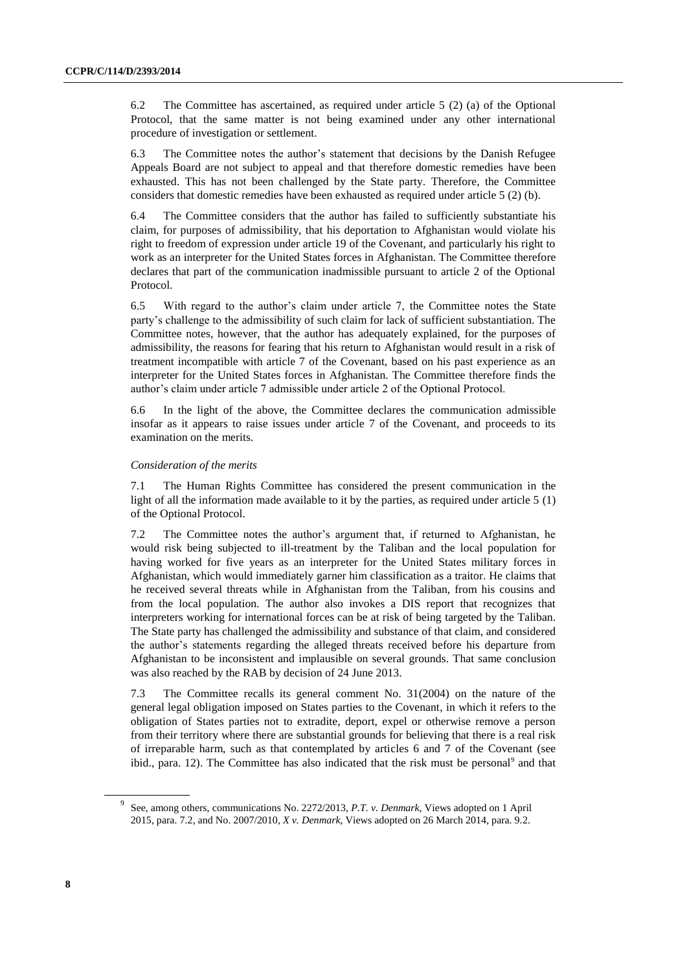6.2 The Committee has ascertained, as required under article 5 (2) (a) of the Optional Protocol, that the same matter is not being examined under any other international procedure of investigation or settlement.

6.3 The Committee notes the author's statement that decisions by the Danish Refugee Appeals Board are not subject to appeal and that therefore domestic remedies have been exhausted. This has not been challenged by the State party. Therefore, the Committee considers that domestic remedies have been exhausted as required under article 5 (2) (b).

6.4 The Committee considers that the author has failed to sufficiently substantiate his claim, for purposes of admissibility, that his deportation to Afghanistan would violate his right to freedom of expression under article 19 of the Covenant, and particularly his right to work as an interpreter for the United States forces in Afghanistan. The Committee therefore declares that part of the communication inadmissible pursuant to article 2 of the Optional Protocol.

6.5 With regard to the author's claim under article 7, the Committee notes the State party's challenge to the admissibility of such claim for lack of sufficient substantiation. The Committee notes, however, that the author has adequately explained, for the purposes of admissibility, the reasons for fearing that his return to Afghanistan would result in a risk of treatment incompatible with article 7 of the Covenant, based on his past experience as an interpreter for the United States forces in Afghanistan. The Committee therefore finds the author's claim under article 7 admissible under article 2 of the Optional Protocol.

6.6 In the light of the above, the Committee declares the communication admissible insofar as it appears to raise issues under article 7 of the Covenant, and proceeds to its examination on the merits.

#### *Consideration of the merits*

7.1 The Human Rights Committee has considered the present communication in the light of all the information made available to it by the parties, as required under article 5 (1) of the Optional Protocol.

7.2 The Committee notes the author's argument that, if returned to Afghanistan, he would risk being subjected to ill-treatment by the Taliban and the local population for having worked for five years as an interpreter for the United States military forces in Afghanistan, which would immediately garner him classification as a traitor. He claims that he received several threats while in Afghanistan from the Taliban, from his cousins and from the local population. The author also invokes a DIS report that recognizes that interpreters working for international forces can be at risk of being targeted by the Taliban. The State party has challenged the admissibility and substance of that claim, and considered the author's statements regarding the alleged threats received before his departure from Afghanistan to be inconsistent and implausible on several grounds. That same conclusion was also reached by the RAB by decision of 24 June 2013.

7.3 The Committee recalls its general comment No. 31(2004) on the nature of the general legal obligation imposed on States parties to the Covenant, in which it refers to the obligation of States parties not to extradite, deport, expel or otherwise remove a person from their territory where there are substantial grounds for believing that there is a real risk of irreparable harm, such as that contemplated by articles 6 and 7 of the Covenant (see ibid., para. 12). The Committee has also indicated that the risk must be personal<sup>9</sup> and that

<sup>9</sup> See, among others, communications No. 2272/2013, *P.T. v. Denmark*, Views adopted on 1 April 2015, para. 7.2, and No. 2007/2010, *X v. Denmark*, Views adopted on 26 March 2014, para. 9.2.